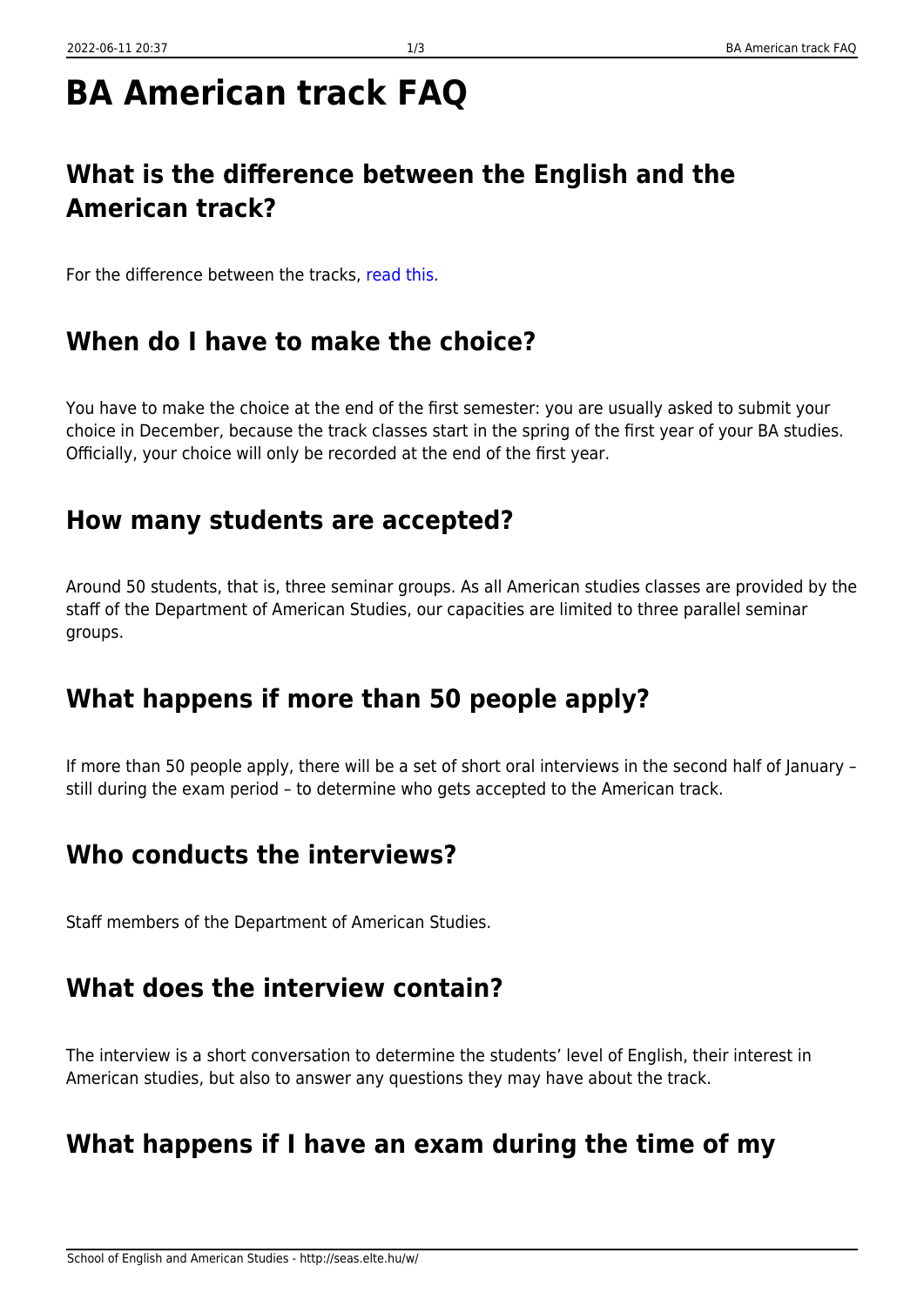# **BA American track FAQ**

# **What is the difference between the English and the American track?**

For the difference between the tracks, [read this.](http://seas.elte.hu/w/studies/admission/eng-ame-choice)

#### **When do I have to make the choice?**

You have to make the choice at the end of the first semester: you are usually asked to submit your choice in December, because the track classes start in the spring of the first year of your BA studies. Officially, your choice will only be recorded at the end of the first year.

#### **How many students are accepted?**

Around 50 students, that is, three seminar groups. As all American studies classes are provided by the staff of the Department of American Studies, our capacities are limited to three parallel seminar groups.

## **What happens if more than 50 people apply?**

If more than 50 people apply, there will be a set of short oral interviews in the second half of January – still during the exam period – to determine who gets accepted to the American track.

#### **Who conducts the interviews?**

Staff members of the Department of American Studies.

#### **What does the interview contain?**

The interview is a short conversation to determine the students' level of English, their interest in American studies, but also to answer any questions they may have about the track.

## **What happens if I have an exam during the time of my**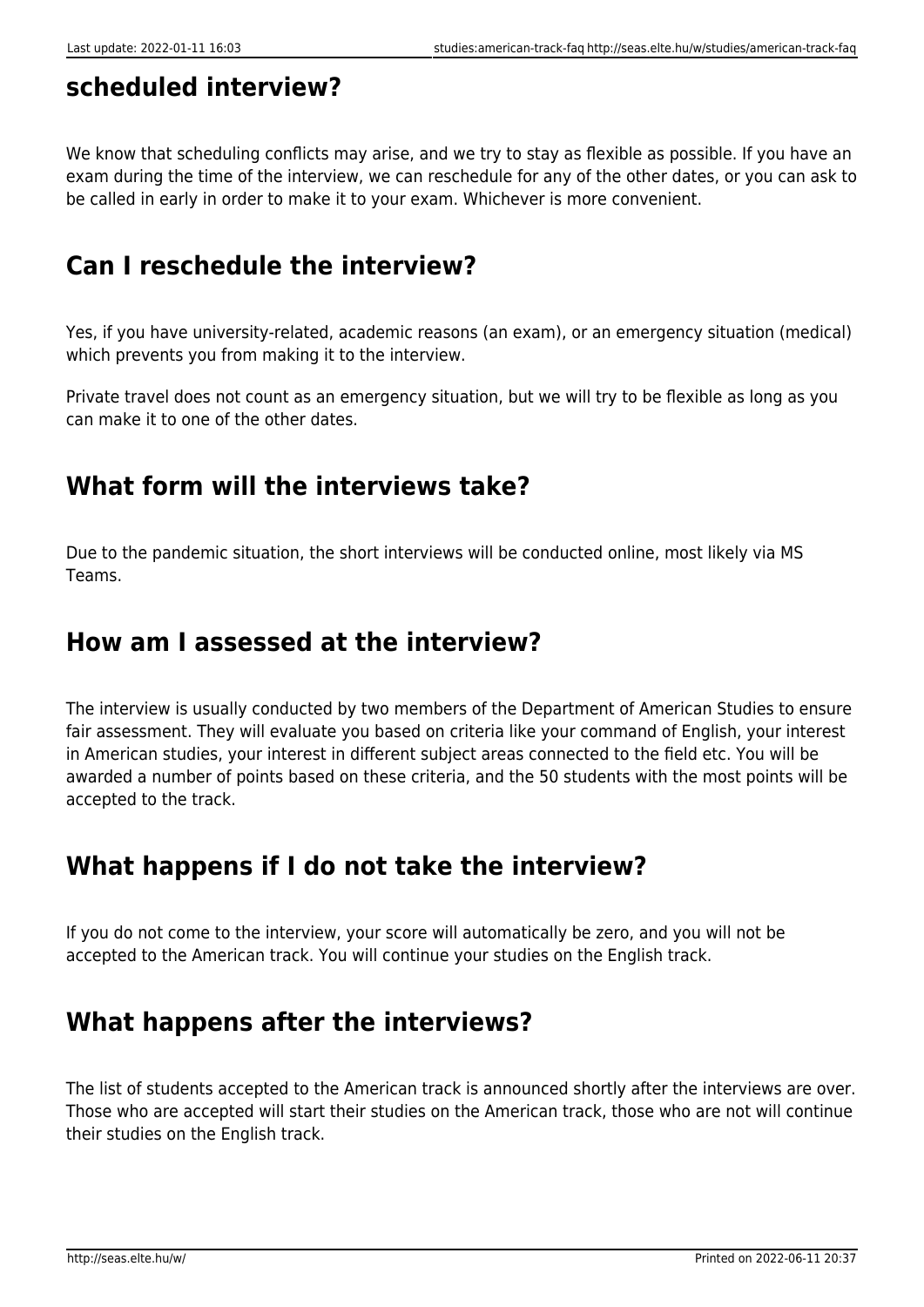# **scheduled interview?**

We know that scheduling conflicts may arise, and we try to stay as flexible as possible. If you have an exam during the time of the interview, we can reschedule for any of the other dates, or you can ask to be called in early in order to make it to your exam. Whichever is more convenient.

## **Can I reschedule the interview?**

Yes, if you have university-related, academic reasons (an exam), or an emergency situation (medical) which prevents you from making it to the interview.

Private travel does not count as an emergency situation, but we will try to be flexible as long as you can make it to one of the other dates.

## **What form will the interviews take?**

Due to the pandemic situation, the short interviews will be conducted online, most likely via MS Teams.

#### **How am I assessed at the interview?**

The interview is usually conducted by two members of the Department of American Studies to ensure fair assessment. They will evaluate you based on criteria like your command of English, your interest in American studies, your interest in different subject areas connected to the field etc. You will be awarded a number of points based on these criteria, and the 50 students with the most points will be accepted to the track.

## **What happens if I do not take the interview?**

If you do not come to the interview, your score will automatically be zero, and you will not be accepted to the American track. You will continue your studies on the English track.

## **What happens after the interviews?**

The list of students accepted to the American track is announced shortly after the interviews are over. Those who are accepted will start their studies on the American track, those who are not will continue their studies on the English track.